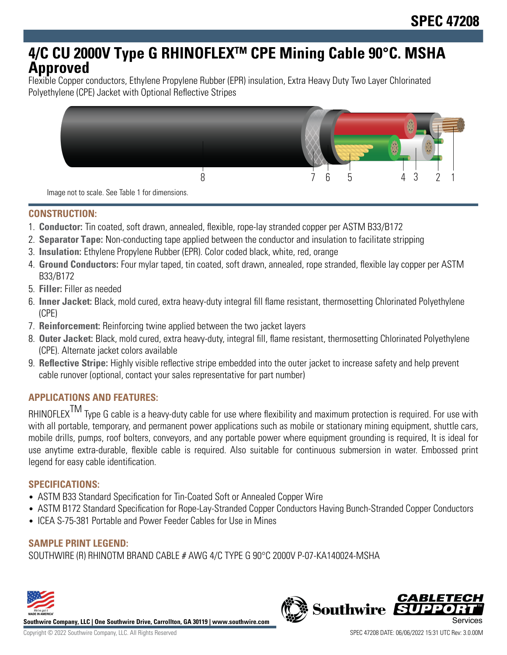# **4/C CU 2000V Type G RHINOFLEXTM CPE Mining Cable 90°C. MSHA Approved**

Flexible Copper conductors, Ethylene Propylene Rubber (EPR) insulation, Extra Heavy Duty Two Layer Chlorinated Polyethylene (CPE) Jacket with Optional Reflective Stripes



Image not to scale. See Table 1 for dimensions.

#### **CONSTRUCTION:**

- 1. **Conductor:** Tin coated, soft drawn, annealed, flexible, rope-lay stranded copper per ASTM B33/B172
- 2. **Separator Tape:** Non-conducting tape applied between the conductor and insulation to facilitate stripping
- 3. **Insulation:** Ethylene Propylene Rubber (EPR). Color coded black, white, red, orange
- 4. **Ground Conductors:** Four mylar taped, tin coated, soft drawn, annealed, rope stranded, flexible lay copper per ASTM B33/B172
- 5. **Filler:** Filler as needed
- 6. **Inner Jacket:** Black, mold cured, extra heavy-duty integral fill flame resistant, thermosetting Chlorinated Polyethylene (CPE)
- 7. **Reinforcement:** Reinforcing twine applied between the two jacket layers
- 8. **Outer Jacket:** Black, mold cured, extra heavy-duty, integral fill, flame resistant, thermosetting Chlorinated Polyethylene (CPE). Alternate jacket colors available
- 9. **Reflective Stripe:** Highly visible reflective stripe embedded into the outer jacket to increase safety and help prevent cable runover (optional, contact your sales representative for part number)

## **APPLICATIONS AND FEATURES:**

RHINOFLEX<sup>TM</sup> Type G cable is a heavy-duty cable for use where flexibility and maximum protection is required. For use with with all portable, temporary, and permanent power applications such as mobile or stationary mining equipment, shuttle cars, mobile drills, pumps, roof bolters, conveyors, and any portable power where equipment grounding is required, It is ideal for use anytime extra-durable, flexible cable is required. Also suitable for continuous submersion in water. Embossed print legend for easy cable identification.

## **SPECIFICATIONS:**

- ASTM B33 Standard Specification for Tin-Coated Soft or Annealed Copper Wire
- ASTM B172 Standard Specification for Rope-Lay-Stranded Copper Conductors Having Bunch-Stranded Copper Conductors
- ICEA S-75-381 Portable and Power Feeder Cables for Use in Mines

## **SAMPLE PRINT LEGEND:**

SOUTHWIRE (R) RHINOTM BRAND CABLE # AWG 4/C TYPE G 90°C 2000V P-07-KA140024-MSHA



**Southwire Company, LLC | One Southwire Drive, Carrollton, GA 30119 | www.southwire.com**